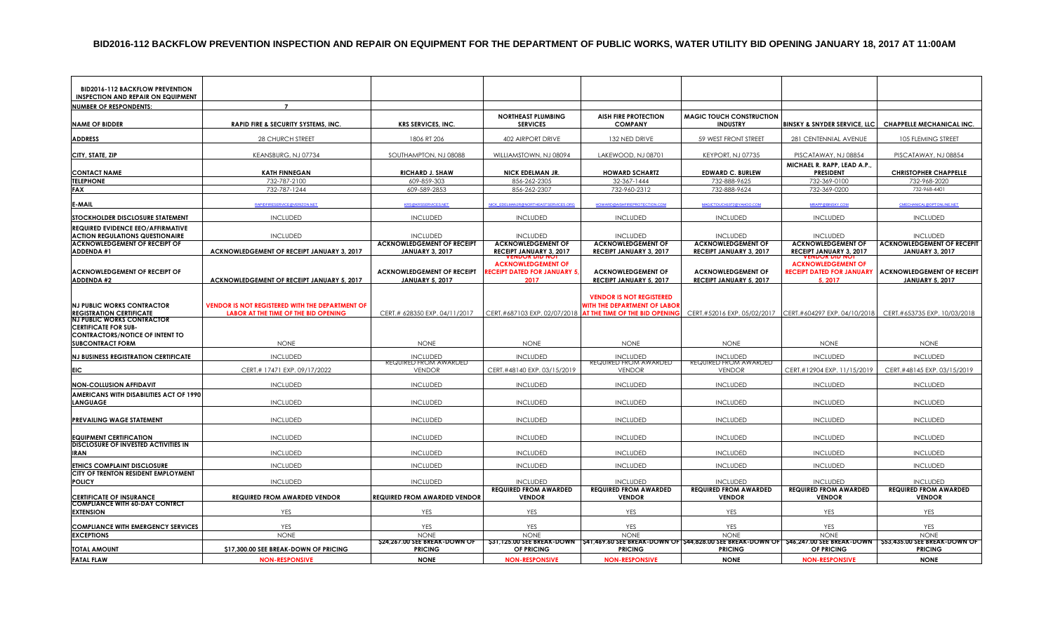#### **BID2016-112 BACKFLOW PREVENTION INSPECTION AND REPAIR ON EQUIPMENT FOR THE DEPARTMENT OF PUBLIC WORKS, WATER UTILITY BID OPENING JANUARY 18, 2017 AT 11:00AM**

| <b>BID2016-112 BACKFLOW PREVENTION</b><br><b>INSPECTION AND REPAIR ON EQUIPMENT</b>                        |                                                        |                                                      |                                                                 |                                                                        |                                                      |                                                               |                                                                                                                                                           |
|------------------------------------------------------------------------------------------------------------|--------------------------------------------------------|------------------------------------------------------|-----------------------------------------------------------------|------------------------------------------------------------------------|------------------------------------------------------|---------------------------------------------------------------|-----------------------------------------------------------------------------------------------------------------------------------------------------------|
| <b>NUMBER OF RESPONDENTS:</b>                                                                              | $\overline{z}$                                         |                                                      |                                                                 |                                                                        |                                                      |                                                               |                                                                                                                                                           |
| <b>NAME OF BIDDER</b>                                                                                      | RAPID FIRE & SECURITY SYSTEMS, INC.                    | <b>KRS SERVICES, INC.</b>                            | <b>NORTHEAST PLUMBING</b><br><b>SERVICES</b>                    | <b>AISH FIRE PROTECTION</b><br><b>COMPANY</b>                          | <b>MAGIC TOUCH CONSTRUCTION</b><br><b>INDUSTRY</b>   |                                                               | BINSKY & SNYDER SERVICE, LLC CHAPPELLE MECHANICAL INC.                                                                                                    |
| <b>ADDRESS</b>                                                                                             | <b>28 CHURCH STREET</b>                                | 1806 RT 206                                          | <b>402 AIRPORT DRIVE</b>                                        | 132 NED DRIVE                                                          | 59 WEST FRONT STREET                                 | 281 CENTENNIAL AVENUE                                         | <b>105 FLEMING STREET</b>                                                                                                                                 |
| CITY, STATE, ZIP                                                                                           | KEANSBURG, NJ 07734                                    | SOUTHAMPTON, NJ 08088                                | WILLIAMSTOWN, NJ 08094                                          | LAKEWOOD, NJ 08701                                                     | KEYPORT, NJ 07735                                    | PISCATAWAY, NJ 08854                                          | PISCATAWAY, NJ 08854                                                                                                                                      |
| <b>CONTACT NAME</b>                                                                                        | <b>KATH FINNEGAN</b>                                   | RICHARD J. SHAW                                      | <b>NICK EDELMAN JR.</b>                                         | <b>HOWARD SCHARTZ</b>                                                  | <b>EDWARD C. BURLEW</b>                              | MICHAEL R. RAPP, LEAD A.P.,<br><b>PRESIDENT</b>               | <b>CHRISTOPHER CHAPPELLE</b>                                                                                                                              |
| <b>TELEPHONE</b>                                                                                           | 732-787-2100                                           | 609-859-303                                          | 856-262-2305                                                    | 32-367-1444                                                            | 732-888-9625                                         | 732-369-0100                                                  | 732-968-2020                                                                                                                                              |
| <b>FAX</b>                                                                                                 | 732-787-1244                                           | 609-589-2853                                         | 856-262-2307                                                    | 732-960-2312                                                           | 732-888-9624                                         | 732-369-0200                                                  | 732-968-4401                                                                                                                                              |
| E-MAII                                                                                                     | APIDFIRESERVICE@VERIZON.NET                            | <b>KRS@KRSSERVICES.NET</b>                           | NICK_EDELMANJR@NORTHEASTSERVICES.ORG                            | <b>HOWARD@AISHFIREPROTECTION.CO</b>                                    | MAGICTOLICH1972@YAHOO COL                            | MRAPP@BINSKY.COM                                              | CMECHANICAL@OPTONLINE.NET                                                                                                                                 |
| STOCKHOLDER DISCLOSURE STATEMENT                                                                           | <b>INCLUDED</b>                                        | <b>INCLUDED</b>                                      | <b>INCLUDED</b>                                                 | <b>INCLUDED</b>                                                        | <b>INCLUDED</b>                                      | <b>INCLUDED</b>                                               | <b>INCLUDED</b>                                                                                                                                           |
| REQUIRED EVIDENCE EEO/AFFIRMATIVE<br><b>ACTION REGULATIONS QUESTIONAIRE</b>                                | <b>INCLUDED</b>                                        | <b>INCLUDED</b>                                      | <b>INCLUDED</b>                                                 | <b>INCLUDED</b>                                                        | <b>INCLUDED</b>                                      | <b>INCLUDED</b>                                               | <b>INCLUDED</b>                                                                                                                                           |
| <b>ACKNOWLEDGEMENT OF RECEIPT OF</b>                                                                       |                                                        | <b>ACKNOWLEDGEMENT OF RECEIPT</b>                    | <b>ACKNOWLEDGEMENT OF</b>                                       | <b>ACKNOWLEDGEMENT OF</b>                                              | <b>ACKNOWLEDGEMENT OF</b>                            | <b>ACKNOWLEDGEMENT OF</b>                                     | <b>ACKNOWLEDGEMENT OF RECEPIT</b>                                                                                                                         |
| <b>ADDENDA#1</b>                                                                                           | ACKNOWLEDGEMENT OF RECEIPT JANUARY 3, 2017             | <b>JANUARY 3, 2017</b>                               | RECEIPT JANUARY 3, 2017                                         | RECEIPT JANUARY 3, 2017                                                | <b>RECEIPT JANUARY 3, 2017</b>                       | <b>RECEIPT JANUARY 3, 2017</b>                                | <b>JANUARY 3, 2017</b>                                                                                                                                    |
| <b>ACKNOWLEDGEMENT OF RECEIPT OF</b>                                                                       |                                                        | <b>ACKNOWLEDGEMENT OF RECEIPT</b>                    | <b>ACKNOWLEDGEMENT OF</b><br><b>ECEIPT DATED FOR JANUARY 5.</b> | <b>ACKNOWLEDGEMENT OF</b>                                              | <b>ACKNOWLEDGEMENT OF</b>                            | <b>ACKNOWLEDGEMENT OF</b><br><b>RECEIPT DATED FOR JANUARY</b> | <b>ACKNOWLEDGEMENT OF RECEIPT</b>                                                                                                                         |
| <b>ADDENDA #2</b>                                                                                          | ACKNOWLEDGEMENT OF RECEIPT JANUARY 5, 2017             | <b>JANUARY 5, 2017</b>                               | 2017                                                            | RECEIPT JANUARY 5, 2017                                                | <b>RECEIPT JANUARY 5, 2017</b>                       | 5, 2017                                                       | <b>JANUARY 5, 2017</b>                                                                                                                                    |
| <b>NJ PUBLIC WORKS CONTRACTOR</b>                                                                          | <b>VENDOR IS NOT REGISTERED WITH THE DEPARTMENT OF</b> |                                                      |                                                                 | <b>VENDOR IS NOT REGISTERED</b><br><b>WITH THE DEPARTMENT OF LABOR</b> |                                                      |                                                               |                                                                                                                                                           |
| <b>REGISTRATION CERTIFICATE</b>                                                                            | LABOR AT THE TIME OF THE BID OPENING                   | CERT.# 628350 EXP. 04/11/2017                        |                                                                 | CERT.#687103 EXP. 02/07/2018 AT THE TIME OF THE BID OPENING            |                                                      | CERT.#52016 EXP. 05/02/2017 CERT.#604297 EXP. 04/10/2018      | CERT.#653735 EXP. 10/03/2018                                                                                                                              |
| <b>NJ PUBLIC WORKS CONTRACTOR</b><br><b>CERTIFICATE FOR SUB-</b><br><b>CONTRACTORS/NOTICE OF INTENT TO</b> |                                                        |                                                      |                                                                 |                                                                        |                                                      |                                                               |                                                                                                                                                           |
| <b>SUBCONTRACT FORM</b>                                                                                    | <b>NONE</b>                                            | <b>NONE</b>                                          | <b>NONE</b>                                                     | <b>NONE</b>                                                            | <b>NONE</b>                                          | <b>NONE</b>                                                   | <b>NONE</b>                                                                                                                                               |
| <b>NJ BUSINESS REGISTRATION CERTIFICATE</b>                                                                | <b>INCLUDED</b>                                        | <b>INCLUDED</b>                                      | <b>INCLUDED</b>                                                 | <b>INCLUDED</b>                                                        | <b>INCLUDED</b>                                      | <b>INCLUDED</b>                                               | <b>INCLUDED</b>                                                                                                                                           |
| <b>EIC</b>                                                                                                 | CERT.# 17471 EXP. 09/17/2022                           | <b><i>REQUIRED FROM AWARDED</i></b><br><b>VENDOR</b> | CERT.#48140 EXP. 03/15/2019                                     | <b>KEQUIKED FROM AWARDED</b><br><b>VENDOR</b>                          | <b><i>REQUIRED FROM AWARDED</i></b><br><b>VENDOR</b> | CERT.#12904 EXP. 11/15/2019                                   | CERT.#48145 EXP. 03/15/2019                                                                                                                               |
|                                                                                                            |                                                        |                                                      |                                                                 |                                                                        |                                                      |                                                               |                                                                                                                                                           |
| <b>NON-COLLUSION AFFIDAVIT</b>                                                                             | <b>INCLUDED</b>                                        | <b>INCLUDED</b>                                      | <b>INCLUDED</b>                                                 | <b>INCLUDED</b>                                                        | <b>INCLUDED</b>                                      | <b>INCLUDED</b>                                               | <b>INCLUDED</b>                                                                                                                                           |
| AMERICANS WITH DISABILITIES ACT OF 1990<br><b>LANGUAGE</b>                                                 | <b>INCLUDED</b>                                        | <b>INCLUDED</b>                                      | <b>INCLUDED</b>                                                 | <b>INCLUDED</b>                                                        | <b>INCLUDED</b>                                      | INCLUDED                                                      | <b>INCLUDED</b>                                                                                                                                           |
| PREVAILING WAGE STATEMENT                                                                                  | <b>INCLUDED</b>                                        | <b>INCLUDED</b>                                      | <b>INCLUDED</b>                                                 | <b>INCLUDED</b>                                                        | <b>INCLUDED</b>                                      | <b>INCLUDED</b>                                               | <b>INCLUDED</b>                                                                                                                                           |
| <b>EQUIPMENT CERTIFICATION</b>                                                                             | <b>INCLUDED</b>                                        | <b>INCLUDED</b>                                      | <b>INCLUDED</b>                                                 | <b>INCLUDED</b>                                                        | <b>INCLUDED</b>                                      | <b>INCLUDED</b>                                               | <b>INCLUDED</b>                                                                                                                                           |
| DISCLOSURE OF INVESTED ACTIVITIES IN                                                                       |                                                        |                                                      |                                                                 |                                                                        |                                                      |                                                               |                                                                                                                                                           |
| <b>IRAN</b>                                                                                                | <b>INCLUDED</b>                                        | <b>INCLUDED</b>                                      | <b>INCLUDED</b>                                                 | <b>INCLUDED</b>                                                        | <b>INCLUDED</b>                                      | <b>INCLUDED</b>                                               | <b>INCLUDED</b>                                                                                                                                           |
| <b>ETHICS COMPLAINT DISCLOSURE</b>                                                                         | <b>INCLUDED</b>                                        | <b>INCLUDED</b>                                      | <b>INCLUDED</b>                                                 | <b>INCLUDED</b>                                                        | <b>INCLUDED</b>                                      | <b>INCLUDED</b>                                               | <b>INCLUDED</b>                                                                                                                                           |
| CITY OF TRENTON RESIDENT EMPLOYMENT<br><b>POLICY</b>                                                       | <b>INCLUDED</b>                                        | <b>INCLUDED</b>                                      | <b>INCLUDED</b>                                                 | <b>INCLUDED</b>                                                        | <b>INCLUDED</b>                                      | <b>INCLUDED</b>                                               | <b>INCLUDED</b>                                                                                                                                           |
|                                                                                                            |                                                        |                                                      | <b>REQUIRED FROM AWARDED</b>                                    | <b>REQUIRED FROM AWARDED</b>                                           | <b>REQUIRED FROM AWARDED</b>                         | <b>REQUIRED FROM AWARDED</b>                                  | <b>REQUIRED FROM AWARDED</b>                                                                                                                              |
| <b>CERTIFICATE OF INSURANCE</b>                                                                            | <b>REQUIRED FROM AWARDED VENDOR</b>                    | <b>REQUIRED FROM AWARDED VENDOR</b>                  | <b>VENDOR</b>                                                   | <b>VENDOR</b>                                                          | <b>VENDOR</b>                                        | <b>VENDOR</b>                                                 | <b>VENDOR</b>                                                                                                                                             |
| <b>COMPLIANCE WITH 60-DAY CONTRCT</b><br><b>EXTENSION</b>                                                  | <b>YES</b>                                             | <b>YES</b>                                           | <b>YES</b>                                                      | <b>YES</b>                                                             | <b>YES</b>                                           | YES                                                           | YES                                                                                                                                                       |
| <b>COMPLIANCE WITH EMERGENCY SERVICES</b>                                                                  | YES                                                    | YES                                                  | <b>YES</b>                                                      | YES                                                                    | YES                                                  | YES                                                           | YES                                                                                                                                                       |
| <b>EXCEPTIONS</b>                                                                                          | <b>NONE</b>                                            | <b>NONE</b>                                          | <b>NONE</b>                                                     | <b>NONE</b>                                                            | <b>NONE</b>                                          | <b>NONE</b>                                                   | <b>NONE</b>                                                                                                                                               |
| <b>TOTAL AMOUNT</b>                                                                                        | \$17,300.00 SEE BREAK-DOWN OF PRICING                  | \$24,267.00 SEE BREAK-DOWN OF<br><b>PRICING</b>      | OF PRICING                                                      | <b>PRICING</b>                                                         | <b>PRICING</b>                                       | OF PRICING                                                    | 531,125.00 SEE BREAK-DOWN 541,469.60 SEE BREAK-DOWN OF 544,828.00 SEE BREAK-DOWN OF 546,247.00 SEE BREAK-DOWN 553,435.00 SEE BREAK-DOWN<br><b>PRICING</b> |
| <b>FATAL FLAW</b>                                                                                          | <b>NON-RESPONSIVE</b>                                  | <b>NONE</b>                                          | <b>NON-RESPONSIVE</b>                                           | <b>NON-RESPONSIVE</b>                                                  | <b>NONE</b>                                          | <b>NON-RESPONSIVE</b>                                         | <b>NONE</b>                                                                                                                                               |
|                                                                                                            |                                                        |                                                      |                                                                 |                                                                        |                                                      |                                                               |                                                                                                                                                           |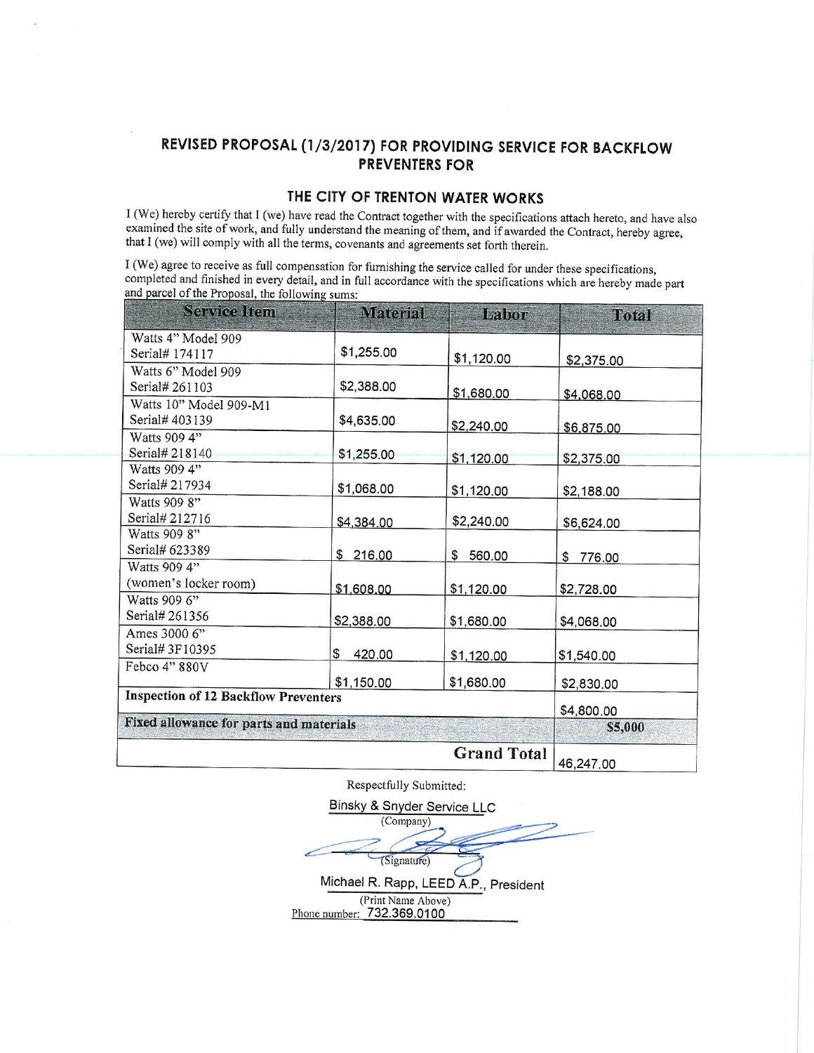# REVISED PROPOSAL (1/3/2017) FOR PROVIDING SERVICE FOR BACKFLOW **PREVENTERS FOR**

## THE CITY OF TRENTON WATER WORKS

I (We) hereby certify that I (we) have read the Contract together with the specifications attach hereto, and have also examined the site of work, and fully understand the meaning of them, and if awarded the Contract, hereby agree, that I (we) will comply with all the terms, covenants and agreements set forth therein.

I (We) agree to receive as full compensation for furnishing the service called for under these specifications, completed and finished in every detail, and in full accordance with the specifications which are hereby made part and parcel of the Proposal, the following sums:

| Service Item                                | Material     | Labor              | Total      |  |
|---------------------------------------------|--------------|--------------------|------------|--|
| Watts 4" Model 909                          |              |                    |            |  |
| Serial# 174117                              | \$1,255.00   | \$1,120.00         | \$2,375.00 |  |
| Watts 6" Model 909                          |              |                    |            |  |
| Serial# 261103                              | \$2,388.00   | \$1,680.00         | \$4,068.00 |  |
| Watts 10" Model 909-M1                      |              |                    |            |  |
| Serial# 403139                              | \$4,635.00   | \$2,240.00         | \$6,875.00 |  |
| Watts 909 4"                                |              |                    |            |  |
| Serial# 218140                              | \$1,255.00   | \$1,120.00         | \$2,375.00 |  |
| Watts 909 4"                                |              |                    |            |  |
| Serial# 217934                              | \$1,068.00   | \$1,120.00         | \$2,188.00 |  |
| Watts 909 8"                                |              |                    |            |  |
| Serial# 212716                              | \$4,384.00   | \$2,240.00         | \$6,624.00 |  |
| Watts 909 8"                                |              |                    |            |  |
| Serial# 623389                              | \$216.00     | \$ 560.00          | \$776.00   |  |
| Watts 909 4"                                |              |                    |            |  |
| (women's locker room)                       | \$1,608.00   | \$1,120.00         | \$2,728.00 |  |
| Watts 909 6"                                |              |                    |            |  |
| Serial# 261356                              | \$2,388.00   | \$1,680.00         | \$4,068.00 |  |
| Ames 3000 6"                                |              |                    |            |  |
| Serial# 3F10395                             | 420.00<br>\$ | \$1,120.00         | \$1,540.00 |  |
| Febco 4" 880V                               |              |                    |            |  |
|                                             | \$1,150.00   | \$1,680.00         | \$2,830.00 |  |
| <b>Inspection of 12 Backflow Preventers</b> | \$4,800.00   |                    |            |  |
| Fixed allowance for parts and materials     | \$5,000      |                    |            |  |
|                                             |              | <b>Grand Total</b> | 46,247.00  |  |

Respectfully Submitted:

Binsky & Snyder Service LLC (Company) (Signature) Michael R. Rapp, LEED A.P., President (Print Name Above)<br>Phone number: 732.369.0100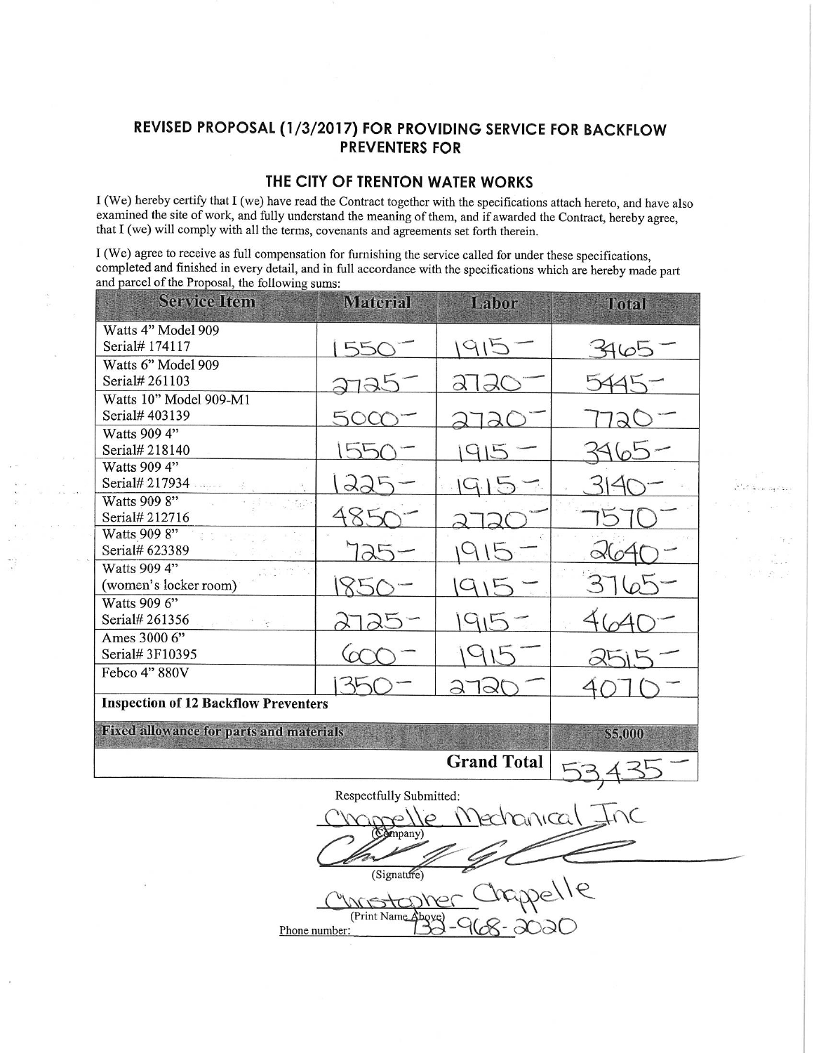## REVISED PROPOSAL (1/3/2017) FOR PROVIDING SERVICE FOR BACKFLOW **PREVENTERS FOR**

### THE CITY OF TRENTON WATER WORKS

I (We) hereby certify that I (we) have read the Contract together with the specifications attach hereto, and have also examined the site of work, and fully understand the meaning of them, and if awarded the Contract, hereby agree, that I (we) will comply with all the terms, covenants and agreements set forth therein.

I (We) agree to receive as full compensation for furnishing the service called for under these specifications, completed and finished in every detail, and in full accordance with the specifications which are hereby made part and parcel of the Proposal, the following sums:

| <b>Service Item</b>                            | <b>Material</b> | Labor | <b>Total</b> |  |  |  |  |  |  |
|------------------------------------------------|-----------------|-------|--------------|--|--|--|--|--|--|
| Watts 4" Model 909                             |                 |       |              |  |  |  |  |  |  |
| Serial# 174117                                 | 55              |       | Alot         |  |  |  |  |  |  |
| Watts 6" Model 909                             |                 |       |              |  |  |  |  |  |  |
| Serial# 261103                                 |                 |       |              |  |  |  |  |  |  |
| Watts 10" Model 909-M1<br>Serial# 403139       |                 |       |              |  |  |  |  |  |  |
| Watts 909 4"                                   |                 |       |              |  |  |  |  |  |  |
| Serial# 218140                                 |                 |       |              |  |  |  |  |  |  |
| Watts 909 4"                                   |                 |       |              |  |  |  |  |  |  |
| Serial# 217934                                 |                 |       |              |  |  |  |  |  |  |
| Watts 909 8"                                   |                 |       |              |  |  |  |  |  |  |
| Serial# 212716                                 |                 |       |              |  |  |  |  |  |  |
| Watts 909 8"<br>Serial# 623389                 |                 |       |              |  |  |  |  |  |  |
| Watts 909 4"                                   |                 |       |              |  |  |  |  |  |  |
| (women's locker room)                          |                 |       |              |  |  |  |  |  |  |
| Watts 909 6"                                   |                 |       |              |  |  |  |  |  |  |
| Serial# 261356                                 |                 |       |              |  |  |  |  |  |  |
| Ames 3000 6"                                   |                 |       |              |  |  |  |  |  |  |
| Serial# 3F10395                                |                 |       |              |  |  |  |  |  |  |
| Febco 4" 880V                                  |                 | 3     |              |  |  |  |  |  |  |
| <b>Inspection of 12 Backflow Preventers</b>    |                 |       |              |  |  |  |  |  |  |
| <b>Fixed allowance for parts and materials</b> | \$5,000         |       |              |  |  |  |  |  |  |
|                                                |                 |       |              |  |  |  |  |  |  |
| Respectfully Submitted:                        |                 |       |              |  |  |  |  |  |  |
| <u>Medhanica</u>                               |                 |       |              |  |  |  |  |  |  |
| (Company)                                      |                 |       |              |  |  |  |  |  |  |
|                                                |                 |       |              |  |  |  |  |  |  |
| (Signature)                                    |                 |       |              |  |  |  |  |  |  |
| appelle                                        |                 |       |              |  |  |  |  |  |  |
| (Print Name Above                              |                 |       |              |  |  |  |  |  |  |
| 168-2020<br>Phone number:                      |                 |       |              |  |  |  |  |  |  |
|                                                |                 |       |              |  |  |  |  |  |  |

 $\dddot{\cdot}$ 

 $\bar{\mathcal{F}}$ 

إنقارها للبارة كالأفر

Dig.  $\frac{1}{2} \left( \begin{array}{cc} 1 & 0 \\ 0 & 0 \end{array} \right)$ 

 $\mathcal{L}_i$  to  $\mathcal{L}_i$  .  $i$